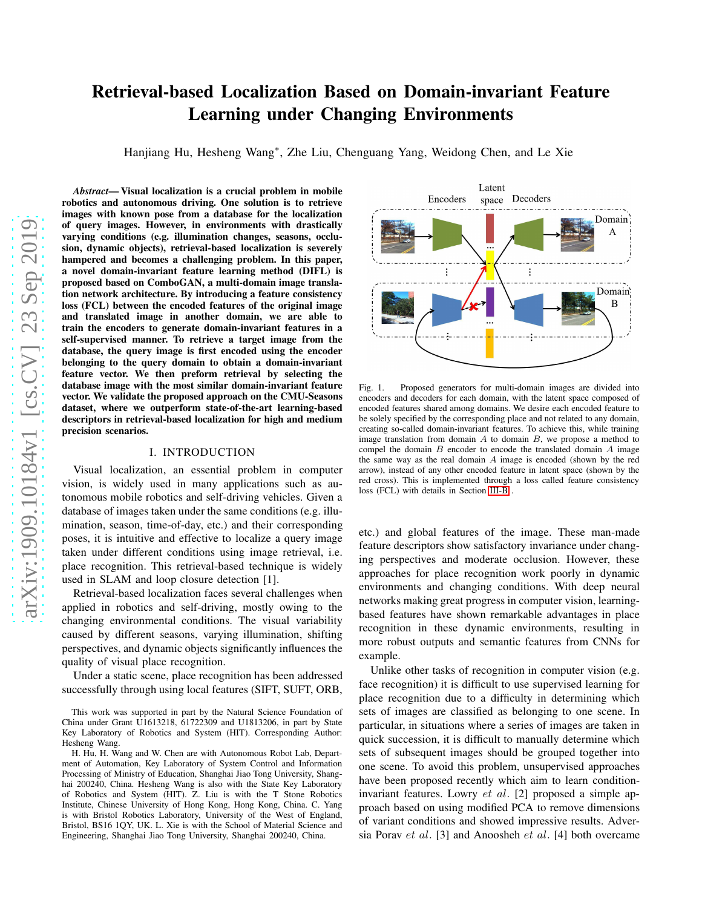# Retrieval-based Localization Based on Domain-invariant Feature Learning under Changing Environments

Hanjiang Hu, Hesheng Wang<sup>∗</sup> , Zhe Liu, Chenguang Yang, Weidong Chen, and Le Xie

*Abstract*— Visual localization is a crucial problem in mobile robotics and autonomous driving. One solution is to retrieve images with known pose from a database for the localization of query images. However, in environments with drastically varying conditions (e.g. illumination changes, seasons, occlusion, dynamic objects), retrieval-based localization is severely hampered and becomes a challenging problem. In this paper, a novel domain-invariant feature learning method (DIFL) is proposed based on ComboGAN, a multi-domain image translation network architecture. By introducing a feature consistency loss (FCL) between the encoded features of the original image and translated image in another domain, we are able to train the encoders to generate domain-invariant features in a self-supervised manner. To retrieve a target image from the database, the query image is first encoded using the encoder belonging to the query domain to obtain a domain-invariant feature vector. We then preform retrieval by selecting the database image with the most similar domain-invariant feature vector. We validate the proposed approach on the CMU-Seasons dataset, where we outperform state-of-the-art learning-based descriptors in retrieval-based localization for high and medium precision scenarios.

#### I. INTRODUCTION

Visual localization, an essential problem in computer vision, is widely used in many applications such as autonomous mobile robotics and self-driving vehicles. Given a database of images taken under the same conditions (e.g. illumination, season, time-of-day, etc.) and their corresponding poses, it is intuitive and effective to localize a query image taken under different conditions using image retrieval, i.e. place recognition. This retrieval-based technique is widely used in SLAM and loop closure detection [1].

Retrieval-based localization faces several challenges when applied in robotics and self-driving, mostly owing to the changing environmental conditions. The visual variability caused by different seasons, varying illumination, shifting perspectives, and dynamic objects significantly influences the quality of visual place recognition.

Under a static scene, place recognition has been addressed successfully through using local features (SIFT, SUFT, ORB,



<span id="page-0-0"></span>Fig. 1. Proposed generators for multi-domain images are divided into encoders and decoders for each domain, with the latent space composed of encoded features shared among domains. We desire each encoded feature to be solely specified by the corresponding place and not related to any domain, creating so-called domain-invariant features. To achieve this, while training image translation from domain  $A$  to domain  $B$ , we propose a method to compel the domain  $B$  encoder to encode the translated domain  $A$  image the same way as the real domain A image is encoded (shown by the red arrow), instead of any other encoded feature in latent space (shown by the red cross). This is implemented through a loss called feature consistency loss (FCL) with details in Section [III-B](#page-2-0) .

etc.) and global features of the image. These man-made feature descriptors show satisfactory invariance under changing perspectives and moderate occlusion. However, these approaches for place recognition work poorly in dynamic environments and changing conditions. With deep neural networks making great progress in computer vision, learningbased features have shown remarkable advantages in place recognition in these dynamic environments, resulting in more robust outputs and semantic features from CNNs for example.

Unlike other tasks of recognition in computer vision (e.g. face recognition) it is difficult to use supervised learning for place recognition due to a difficulty in determining which sets of images are classified as belonging to one scene. In particular, in situations where a series of images are taken in quick succession, it is difficult to manually determine which sets of subsequent images should be grouped together into one scene. To avoid this problem, unsupervised approaches have been proposed recently which aim to learn conditioninvariant features. Lowry et al. [2] proposed a simple approach based on using modified PCA to remove dimensions of variant conditions and showed impressive results. Adversia Porav et al. [3] and Anoosheh et al. [4] both overcame

This work was supported in part by the Natural Science Foundation of China under Grant U1613218, 61722309 and U1813206, in part by State Key Laboratory of Robotics and System (HIT). Corresponding Author: Hesheng Wang.

H. Hu, H. Wang and W. Chen are with Autonomous Robot Lab, Department of Automation, Key Laboratory of System Control and Information Processing of Ministry of Education, Shanghai Jiao Tong University, Shanghai 200240, China. Hesheng Wang is also with the State Key Laboratory of Robotics and System (HIT). Z. Liu is with the T Stone Robotics Institute, Chinese University of Hong Kong, Hong Kong, China. C. Yang is with Bristol Robotics Laboratory, University of the West of England, Bristol, BS16 1QY, UK. L. Xie is with the School of Material Science and Engineering, Shanghai Jiao Tong University, Shanghai 200240, China.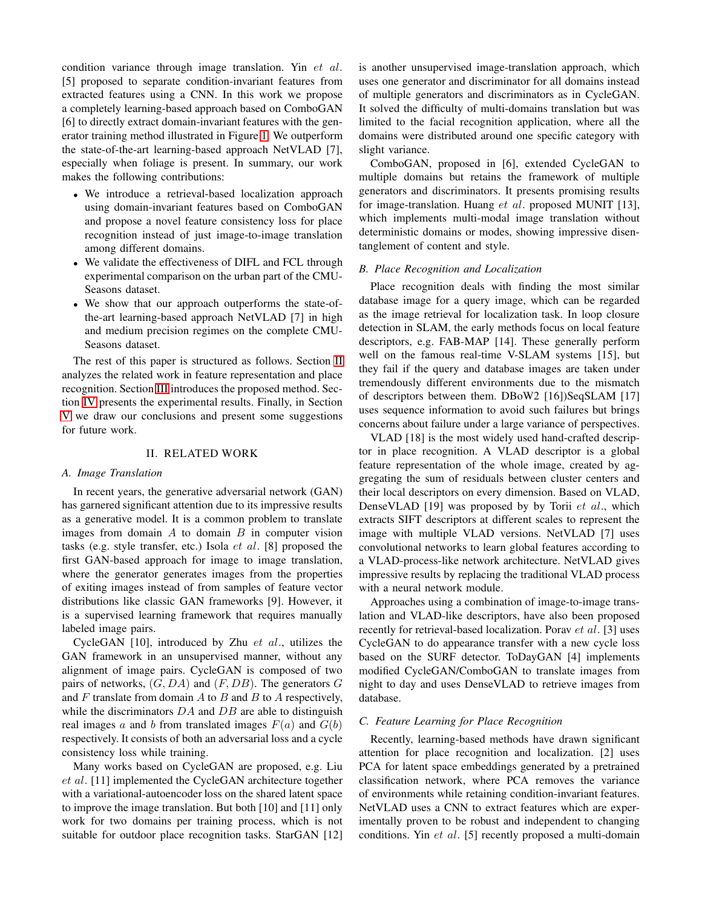condition variance through image translation. Yin et al. [5] proposed to separate condition-invariant features from extracted features using a CNN. In this work we propose a completely learning-based approach based on ComboGAN [6] to directly extract domain-invariant features with the generator training method illustrated in Figure [1.](#page-0-0) We outperform the state-of-the-art learning-based approach NetVLAD [7], especially when foliage is present. In summary, our work makes the following contributions:

- We introduce a retrieval-based localization approach using domain-invariant features based on ComboGAN and propose a novel feature consistency loss for place recognition instead of just image-to-image translation among different domains.
- We validate the effectiveness of DIFL and FCL through experimental comparison on the urban part of the CMU-Seasons dataset.
- We show that our approach outperforms the state-ofthe-art learning-based approach NetVLAD [7] in high and medium precision regimes on the complete CMU-Seasons dataset.

The rest of this paper is structured as follows. Section [II](#page-1-0) analyzes the related work in feature representation and place recognition. Section [III](#page-2-1) introduces the proposed method. Section [IV](#page-3-0) presents the experimental results. Finally, in Section [V](#page-5-0) we draw our conclusions and present some suggestions for future work.

## II. RELATED WORK

# <span id="page-1-0"></span>*A. Image Translation*

In recent years, the generative adversarial network (GAN) has garnered significant attention due to its impressive results as a generative model. It is a common problem to translate images from domain  $A$  to domain  $B$  in computer vision tasks (e.g. style transfer, etc.) Isola et al. [8] proposed the first GAN-based approach for image to image translation, where the generator generates images from the properties of exiting images instead of from samples of feature vector distributions like classic GAN frameworks [9]. However, it is a supervised learning framework that requires manually labeled image pairs.

CycleGAN [10], introduced by Zhu et al., utilizes the GAN framework in an unsupervised manner, without any alignment of image pairs. CycleGAN is composed of two pairs of networks,  $(G, DA)$  and  $(F, DB)$ . The generators G and  $F$  translate from domain  $A$  to  $B$  and  $B$  to  $A$  respectively, while the discriminators  $DA$  and  $DB$  are able to distinguish real images a and b from translated images  $F(a)$  and  $G(b)$ respectively. It consists of both an adversarial loss and a cycle consistency loss while training.

Many works based on CycleGAN are proposed, e.g. Liu et al. [11] implemented the CycleGAN architecture together with a variational-autoencoder loss on the shared latent space to improve the image translation. But both [10] and [11] only work for two domains per training process, which is not suitable for outdoor place recognition tasks. StarGAN [12]

is another unsupervised image-translation approach, which uses one generator and discriminator for all domains instead of multiple generators and discriminators as in CycleGAN. It solved the difficulty of multi-domains translation but was limited to the facial recognition application, where all the domains were distributed around one specific category with slight variance.

ComboGAN, proposed in [6], extended CycleGAN to multiple domains but retains the framework of multiple generators and discriminators. It presents promising results for image-translation. Huang et al. proposed MUNIT [13], which implements multi-modal image translation without deterministic domains or modes, showing impressive disentanglement of content and style.

#### *B. Place Recognition and Localization*

Place recognition deals with finding the most similar database image for a query image, which can be regarded as the image retrieval for localization task. In loop closure detection in SLAM, the early methods focus on local feature descriptors, e.g. FAB-MAP [14]. These generally perform well on the famous real-time V-SLAM systems [15], but they fail if the query and database images are taken under tremendously different environments due to the mismatch of descriptors between them. DBoW2 [16])SeqSLAM [17] uses sequence information to avoid such failures but brings concerns about failure under a large variance of perspectives.

VLAD [18] is the most widely used hand-crafted descriptor in place recognition. A VLAD descriptor is a global feature representation of the whole image, created by aggregating the sum of residuals between cluster centers and their local descriptors on every dimension. Based on VLAD, DenseVLAD [19] was proposed by by Torii et al., which extracts SIFT descriptors at different scales to represent the image with multiple VLAD versions. NetVLAD [7] uses convolutional networks to learn global features according to a VLAD-process-like network architecture. NetVLAD gives impressive results by replacing the traditional VLAD process with a neural network module.

Approaches using a combination of image-to-image translation and VLAD-like descriptors, have also been proposed recently for retrieval-based localization. Porav et al. [3] uses CycleGAN to do appearance transfer with a new cycle loss based on the SURF detector. ToDayGAN [4] implements modified CycleGAN/ComboGAN to translate images from night to day and uses DenseVLAD to retrieve images from database.

# *C. Feature Learning for Place Recognition*

Recently, learning-based methods have drawn significant attention for place recognition and localization. [2] uses PCA for latent space embeddings generated by a pretrained classification network, where PCA removes the variance of environments while retaining condition-invariant features. NetVLAD uses a CNN to extract features which are experimentally proven to be robust and independent to changing conditions. Yin et al. [5] recently proposed a multi-domain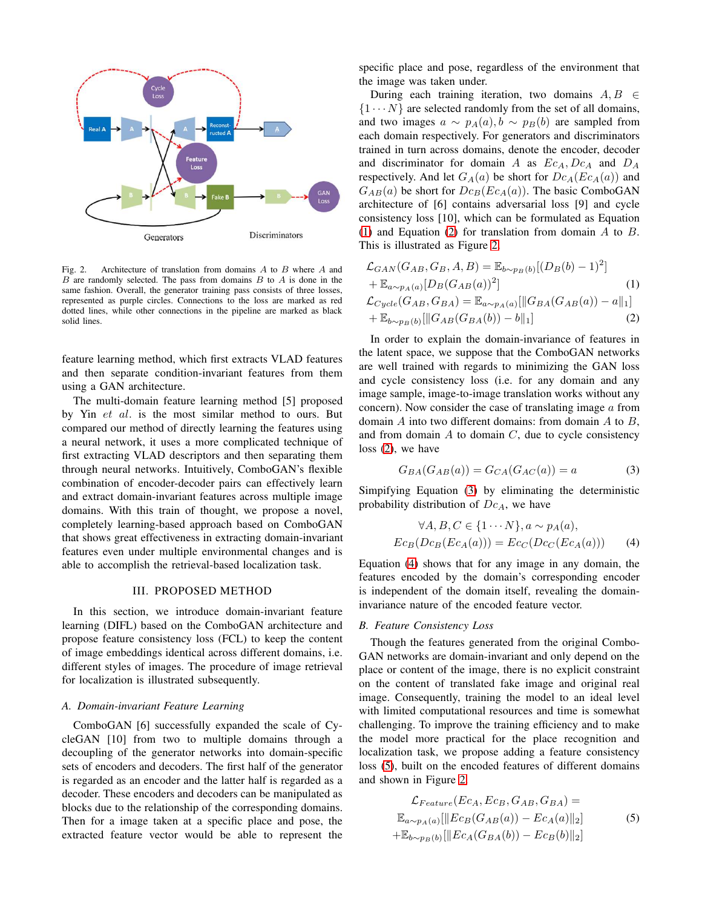

<span id="page-2-4"></span>Fig. 2. Architecture of translation from domains  $A$  to  $B$  where  $A$  and  $B$  are randomly selected. The pass from domains  $B$  to  $A$  is done in the same fashion. Overall, the generator training pass consists of three losses, represented as purple circles. Connections to the loss are marked as red dotted lines, while other connections in the pipeline are marked as black solid lines.

feature learning method, which first extracts VLAD features and then separate condition-invariant features from them using a GAN architecture.

The multi-domain feature learning method [5] proposed by Yin et al. is the most similar method to ours. But compared our method of directly learning the features using a neural network, it uses a more complicated technique of first extracting VLAD descriptors and then separating them through neural networks. Intuitively, ComboGAN's flexible combination of encoder-decoder pairs can effectively learn and extract domain-invariant features across multiple image domains. With this train of thought, we propose a novel, completely learning-based approach based on ComboGAN that shows great effectiveness in extracting domain-invariant features even under multiple environmental changes and is able to accomplish the retrieval-based localization task.

# III. PROPOSED METHOD

<span id="page-2-1"></span>In this section, we introduce domain-invariant feature learning (DIFL) based on the ComboGAN architecture and propose feature consistency loss (FCL) to keep the content of image embeddings identical across different domains, i.e. different styles of images. The procedure of image retrieval for localization is illustrated subsequently.

## <span id="page-2-8"></span>*A. Domain-invariant Feature Learning*

ComboGAN [6] successfully expanded the scale of CycleGAN [10] from two to multiple domains through a decoupling of the generator networks into domain-specific sets of encoders and decoders. The first half of the generator is regarded as an encoder and the latter half is regarded as a decoder. These encoders and decoders can be manipulated as blocks due to the relationship of the corresponding domains. Then for a image taken at a specific place and pose, the extracted feature vector would be able to represent the

specific place and pose, regardless of the environment that the image was taken under.

During each training iteration, two domains  $A, B \in$  $\{1 \cdots N\}$  are selected randomly from the set of all domains, and two images  $a \sim p_A(a), b \sim p_B(b)$  are sampled from each domain respectively. For generators and discriminators trained in turn across domains, denote the encoder, decoder and discriminator for domain A as  $Ec_A$ ,  $Dc_A$  and  $D_A$ respectively. And let  $G_A(a)$  be short for  $Dc_A(Ec_A(a))$  and  $G_{AB}(a)$  be short for  $Dc_B(Ec_A(a))$ . The basic ComboGAN architecture of [6] contains adversarial loss [9] and cycle consistency loss [10], which can be formulated as Equation [\(1\)](#page-2-2) and Equation [\(2\)](#page-2-3) for translation from domain A to B. This is illustrated as Figure [2.](#page-2-4)

<span id="page-2-3"></span><span id="page-2-2"></span>
$$
\mathcal{L}_{GAN}(G_{AB}, G_{B}, A, B) = \mathbb{E}_{b \sim p_B(b)}[(D_B(b) - 1)^2]
$$
  
+  $\mathbb{E}_{a \sim p_A(a)}[D_B(G_{AB}(a))^2]$  (1)  
 $\mathcal{L}_{Cycle}(G_{AB}, G_{BA}) = \mathbb{E}_{a \sim p_A(a)}[||G_{BA}(G_{AB}(a)) - a||_1]$   
+  $\mathbb{E}_{b \sim p_B(b)}[||G_{AB}(G_{BA}(b)) - b||_1]$  (2)

In order to explain the domain-invariance of features in the latent space, we suppose that the ComboGAN networks are well trained with regards to minimizing the GAN loss and cycle consistency loss (i.e. for any domain and any image sample, image-to-image translation works without any concern). Now consider the case of translating image a from domain  $A$  into two different domains: from domain  $A$  to  $B$ , and from domain  $A$  to domain  $C$ , due to cycle consistency loss [\(2\)](#page-2-3), we have

<span id="page-2-5"></span>
$$
G_{BA}(G_{AB}(a)) = G_{CA}(G_{AC}(a)) = a \tag{3}
$$

Simpifying Equation [\(3\)](#page-2-5) by eliminating the deterministic probability distribution of  $Dc<sub>A</sub>$ , we have

<span id="page-2-6"></span>
$$
\forall A, B, C \in \{1 \cdots N\}, a \sim p_A(a),
$$
  

$$
Ec_B(Dc_B(Ec_A(a))) = Ec_C(Dc_C(Ec_A(a)))
$$
 (4)

Equation [\(4\)](#page-2-6) shows that for any image in any domain, the features encoded by the domain's corresponding encoder is independent of the domain itself, revealing the domaininvariance nature of the encoded feature vector.

#### <span id="page-2-0"></span>*B. Feature Consistency Loss*

Though the features generated from the original Combo-GAN networks are domain-invariant and only depend on the place or content of the image, there is no explicit constraint on the content of translated fake image and original real image. Consequently, training the model to an ideal level with limited computational resources and time is somewhat challenging. To improve the training efficiency and to make the model more practical for the place recognition and localization task, we propose adding a feature consistency loss [\(5\)](#page-2-7), built on the encoded features of different domains and shown in Figure [2.](#page-2-4)

<span id="page-2-7"></span>
$$
\mathcal{L}_{Feature}(Ec_A, Ec_B, G_{AB}, G_{BA}) =
$$
  
\n
$$
\mathbb{E}_{a \sim p_A(a)}[\|Ec_B(G_{AB}(a)) - Ec_A(a)\|_2]
$$
  
\n
$$
+\mathbb{E}_{b \sim p_B(b)}[\|Ec_A(G_{BA}(b)) - Ec_B(b)\|_2]
$$
\n(5)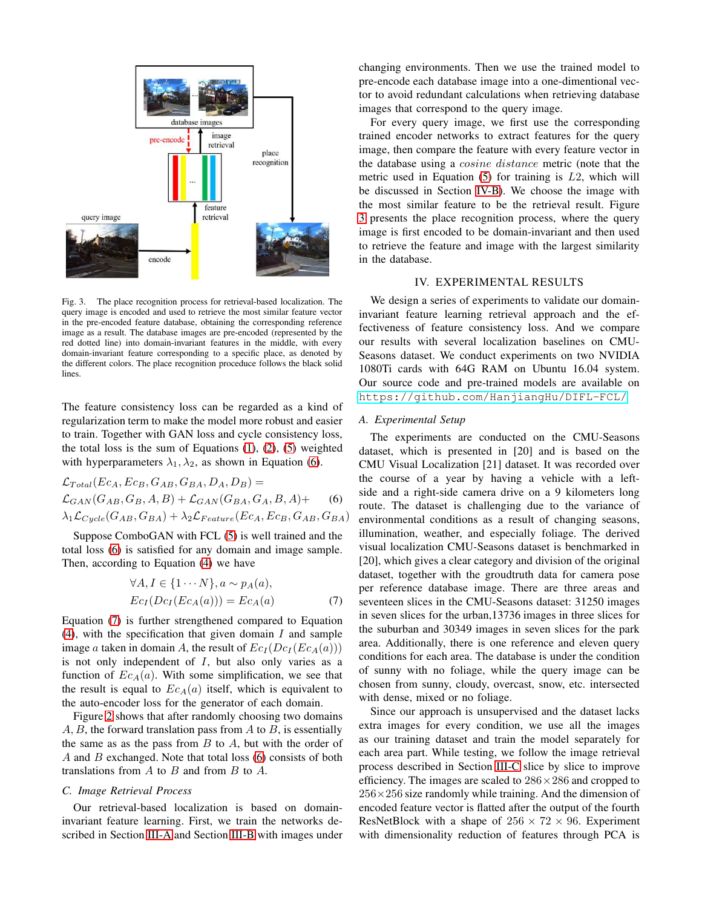

<span id="page-3-3"></span>Fig. 3. The place recognition process for retrieval-based localization. The query image is encoded and used to retrieve the most similar feature vector in the pre-encoded feature database, obtaining the corresponding reference image as a result. The database images are pre-encoded (represented by the red dotted line) into domain-invariant features in the middle, with every domain-invariant feature corresponding to a specific place, as denoted by the different colors. The place recognition proceduce follows the black solid lines.

The feature consistency loss can be regarded as a kind of regularization term to make the model more robust and easier to train. Together with GAN loss and cycle consistency loss, the total loss is the sum of Equations  $(1)$ ,  $(2)$ ,  $(5)$  weighted with hyperparameters  $\lambda_1, \lambda_2$ , as shown in Equation [\(6\)](#page-3-1).

$$
\mathcal{L}_{Total}(Ec_A, Ec_B, G_{AB}, G_{BA}, D_A, D_B) =
$$
\n
$$
\mathcal{L}_{GAN}(G_{AB}, G_B, A, B) + \mathcal{L}_{GAN}(G_{BA}, G_A, B, A) + (6)
$$
\n
$$
\lambda_1 \mathcal{L}_{Cycle}(G_{AB}, G_{BA}) + \lambda_2 \mathcal{L}_{Feature}(Ec_A, Ec_B, G_{AB}, G_{BA})
$$

Suppose ComboGAN with FCL [\(5\)](#page-2-7) is well trained and the total loss [\(6\)](#page-3-1) is satisfied for any domain and image sample. Then, according to Equation [\(4\)](#page-2-6) we have

<span id="page-3-2"></span>
$$
\forall A, I \in \{1 \cdots N\}, a \sim p_A(a),
$$
  
\n
$$
Ec_I(Dc_I(Ec_A(a))) = Ec_A(a)
$$
 (7)

Equation [\(7\)](#page-3-2) is further strengthened compared to Equation  $(4)$ , with the specification that given domain I and sample image a taken in domain A, the result of  $Ec_I (Dc_I (Ec_A(a)))$ is not only independent of  $I$ , but also only varies as a function of  $Ec_A(a)$ . With some simplification, we see that the result is equal to  $Ec_A(a)$  itself, which is equivalent to the auto-encoder loss for the generator of each domain.

Figure [2](#page-2-4) shows that after randomly choosing two domains  $A, B$ , the forward translation pass from  $A$  to  $B$ , is essentially the same as as the pass from  $B$  to  $A$ , but with the order of  $A$  and  $B$  exchanged. Note that total loss  $(6)$  consists of both translations from  $A$  to  $B$  and from  $B$  to  $A$ .

# <span id="page-3-4"></span>*C. Image Retrieval Process*

Our retrieval-based localization is based on domaininvariant feature learning. First, we train the networks described in Section [III-A](#page-2-8) and Section [III-B](#page-2-0) with images under changing environments. Then we use the trained model to pre-encode each database image into a one-dimentional vector to avoid redundant calculations when retrieving database images that correspond to the query image.

For every query image, we first use the corresponding trained encoder networks to extract features for the query image, then compare the feature with every feature vector in the database using a cosine distance metric (note that the metric used in Equation  $(5)$  for training is  $L2$ , which will be discussed in Section [IV-B\)](#page-4-0). We choose the image with the most similar feature to be the retrieval result. Figure [3](#page-3-3) presents the place recognition process, where the query image is first encoded to be domain-invariant and then used to retrieve the feature and image with the largest similarity in the database.

# IV. EXPERIMENTAL RESULTS

<span id="page-3-0"></span>We design a series of experiments to validate our domaininvariant feature learning retrieval approach and the effectiveness of feature consistency loss. And we compare our results with several localization baselines on CMU-Seasons dataset. We conduct experiments on two NVIDIA 1080Ti cards with 64G RAM on Ubuntu 16.04 system. Our source code and pre-trained models are available on <https://github.com/HanjiangHu/DIFL-FCL/>.

#### *A. Experimental Setup*

<span id="page-3-1"></span>The experiments are conducted on the CMU-Seasons dataset, which is presented in [20] and is based on the CMU Visual Localization [21] dataset. It was recorded over the course of a year by having a vehicle with a leftside and a right-side camera drive on a 9 kilometers long route. The dataset is challenging due to the variance of environmental conditions as a result of changing seasons, illumination, weather, and especially foliage. The derived visual localization CMU-Seasons dataset is benchmarked in [20], which gives a clear category and division of the original dataset, together with the groudtruth data for camera pose per reference database image. There are three areas and seventeen slices in the CMU-Seasons dataset: 31250 images in seven slices for the urban,13736 images in three slices for the suburban and 30349 images in seven slices for the park area. Additionally, there is one reference and eleven query conditions for each area. The database is under the condition of sunny with no foliage, while the query image can be chosen from sunny, cloudy, overcast, snow, etc. intersected with dense, mixed or no foliage.

Since our approach is unsupervised and the dataset lacks extra images for every condition, we use all the images as our training dataset and train the model separately for each area part. While testing, we follow the image retrieval process described in Section [III-C](#page-3-4) slice by slice to improve efficiency. The images are scaled to  $286 \times 286$  and cropped to  $256\times256$  size randomly while training. And the dimension of encoded feature vector is flatted after the output of the fourth ResNetBlock with a shape of  $256 \times 72 \times 96$ . Experiment with dimensionality reduction of features through PCA is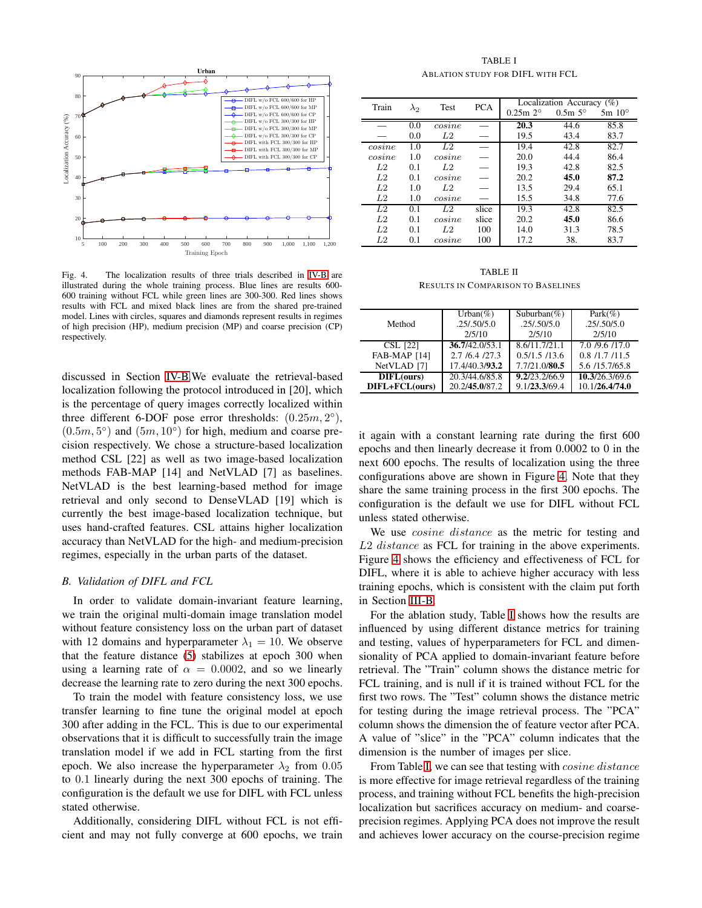

<span id="page-4-1"></span>Fig. 4. The localization results of three trials described in [IV-B](#page-4-0) are illustrated during the whole training process. Blue lines are results 600- 600 training without FCL while green lines are 300-300. Red lines shows results with FCL and mixed black lines are from the shared pre-trained model. Lines with circles, squares and diamonds represent results in regimes of high precision (HP), medium precision (MP) and coarse precision (CP) respectively.

discussed in Section [IV-B.](#page-4-0)We evaluate the retrieval-based localization following the protocol introduced in [20], which is the percentage of query images correctly localized within three different 6-DOF pose error thresholds:  $(0.25m, 2^{\circ})$ ,  $(0.5m, 5^{\circ})$  and  $(5m, 10^{\circ})$  for high, medium and coarse precision respectively. We chose a structure-based localization method CSL [22] as well as two image-based localization methods FAB-MAP [14] and NetVLAD [7] as baselines. NetVLAD is the best learning-based method for image retrieval and only second to DenseVLAD [19] which is currently the best image-based localization technique, but uses hand-crafted features. CSL attains higher localization accuracy than NetVLAD for the high- and medium-precision regimes, especially in the urban parts of the dataset.

# <span id="page-4-0"></span>*B. Validation of DIFL and FCL*

In order to validate domain-invariant feature learning, we train the original multi-domain image translation model without feature consistency loss on the urban part of dataset with 12 domains and hyperparameter  $\lambda_1 = 10$ . We observe that the feature distance [\(5\)](#page-2-7) stabilizes at epoch 300 when using a learning rate of  $\alpha = 0.0002$ , and so we linearly decrease the learning rate to zero during the next 300 epochs.

To train the model with feature consistency loss, we use transfer learning to fine tune the original model at epoch 300 after adding in the FCL. This is due to our experimental observations that it is difficult to successfully train the image translation model if we add in FCL starting from the first epoch. We also increase the hyperparameter  $\lambda_2$  from 0.05 to 0.1 linearly during the next 300 epochs of training. The configuration is the default we use for DIFL with FCL unless stated otherwise.

Additionally, considering DIFL without FCL is not efficient and may not fully converge at 600 epochs, we train

TABLE I ABLATION STUDY FOR DIFL WITH FCL

<span id="page-4-2"></span>

|        | $\lambda_2$ | Test           | <b>PCA</b> | Localization Accuracy $(\%)$ |                  |                 |
|--------|-------------|----------------|------------|------------------------------|------------------|-----------------|
| Train  |             |                |            | $0.25m 2^{\circ}$            | $0.5m 5^{\circ}$ | $5m 10^{\circ}$ |
|        | 0.0         | cosine         |            | 20.3                         | 44.6             | 85.8            |
|        | 0.0         | L <sub>2</sub> |            | 19.5                         | 43.4             | 83.7            |
| cosine | 1.0         | L2             |            | 19.4                         | 42.8             | 82.7            |
| cosine | 1.0         | cosine         |            | 20.0                         | 44.4             | 86.4            |
| L2     | 0.1         | L2             |            | 19.3                         | 42.8             | 82.5            |
| L2     | 0.1         | cosine         |            | 20.2                         | 45.0             | 87.2            |
| L2     | 1.0         | L <sub>2</sub> |            | 13.5                         | 29.4             | 65.1            |
| L2     | 1.0         | cosine         |            | 15.5                         | 34.8             | 77.6            |
| L2     | 0.1         | L <sub>2</sub> | slice      | 19.3                         | 42.8             | 82.5            |
| L2     | 0.1         | cosine         | slice      | 20.2                         | 45.0             | 86.6            |
| L2     | 0.1         | L2.            | 100        | 14.0                         | 31.3             | 78.5            |
| L2     | 0.1         | cosine         | 100        | 17.2                         | 38.              | 83.7            |

TABLE II RESULTS IN COMPARISON TO BASELINES

<span id="page-4-3"></span>

|                        | Urban $(\% )$  | Suburban $(\%)$ | $Park(\% )$      |
|------------------------|----------------|-----------------|------------------|
| Method                 | .25/0.50/5.0   | .25/0.50/5.0    | .25/0.50/5.0     |
|                        | 2/5/10         | 2/5/10          | 2/5/10           |
| <b>CSL</b> [22]        | 36.7/42.0/53.1 | 8.6/11.7/21.1   | 7.0 /9.6 /17.0   |
| <b>FAB-MAP [14]</b>    | 2.7/6.4/27.3   | 0.5/1.5/13.6    | 0.8 / 1.7 / 11.5 |
| NetVLAD <sup>[7]</sup> | 17.4/40.3/93.2 | 7.7/21.0/80.5   | 5.6 /15.7/65.8   |
| DIFL(ours)             | 20.3/44.6/85.8 | 9.2/23.2/66.9   | 10.3/26.3/69.6   |
| DIFL+FCL(ours)         | 20.2/45.0/87.2 | 9.1/23.3/69.4   | 10.1/26.4/74.0   |
|                        |                |                 |                  |

it again with a constant learning rate during the first 600 epochs and then linearly decrease it from 0.0002 to 0 in the next 600 epochs. The results of localization using the three configurations above are shown in Figure [4.](#page-4-1) Note that they share the same training process in the first 300 epochs. The configuration is the default we use for DIFL without FCL unless stated otherwise.

We use *cosine distance* as the metric for testing and L2 distance as FCL for training in the above experiments. Figure [4](#page-4-1) shows the efficiency and effectiveness of FCL for DIFL, where it is able to achieve higher accuracy with less training epochs, which is consistent with the claim put forth in Section [III-B.](#page-2-0)

For the ablation study, Table [I](#page-4-2) shows how the results are influenced by using different distance metrics for training and testing, values of hyperparameters for FCL and dimensionality of PCA applied to domain-invariant feature before retrieval. The "Train" column shows the distance metric for FCL training, and is null if it is trained without FCL for the first two rows. The "Test" column shows the distance metric for testing during the image retrieval process. The "PCA" column shows the dimension the of feature vector after PCA. A value of "slice" in the "PCA" column indicates that the dimension is the number of images per slice.

From Table [I,](#page-4-2) we can see that testing with *cosine distance* is more effective for image retrieval regardless of the training process, and training without FCL benefits the high-precision localization but sacrifices accuracy on medium- and coarseprecision regimes. Applying PCA does not improve the result and achieves lower accuracy on the course-precision regime